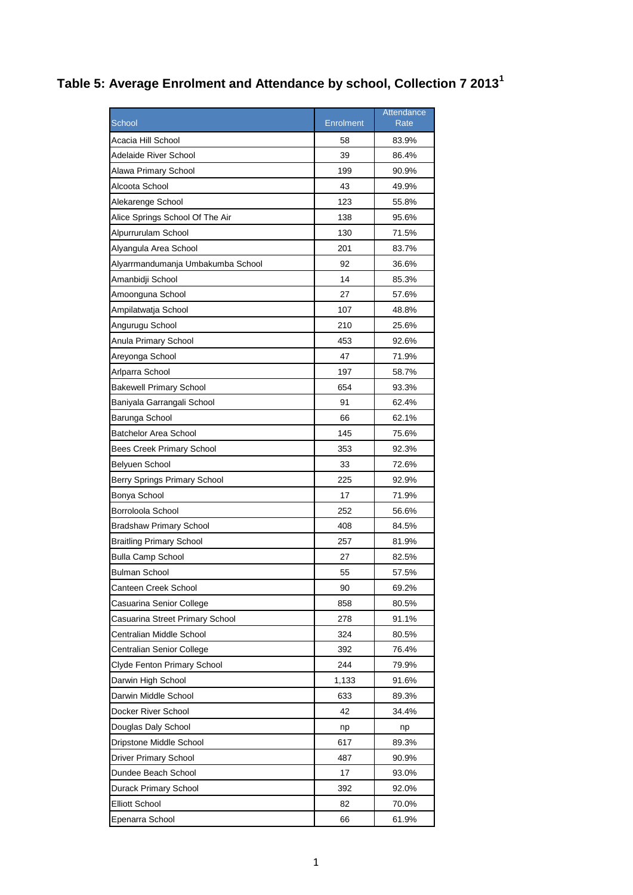## **Table 5: Average Enrolment and Attendance by school, Collection 7 2013<sup>1</sup>**

|                                   |                  | Attendance |
|-----------------------------------|------------------|------------|
| <b>School</b>                     | <b>Enrolment</b> | Rate       |
| Acacia Hill School                | 58               | 83.9%      |
| Adelaide River School             | 39               | 86.4%      |
| Alawa Primary School              | 199              | 90.9%      |
| Alcoota School                    | 43               | 49.9%      |
| Alekarenge School                 | 123              | 55.8%      |
| Alice Springs School Of The Air   | 138              | 95.6%      |
| Alpurrurulam School               | 130              | 71.5%      |
| Alyangula Area School             | 201              | 83.7%      |
| Alyarrmandumanja Umbakumba School | 92               | 36.6%      |
| Amanbidji School                  | 14               | 85.3%      |
| Amoonguna School                  | 27               | 57.6%      |
| Ampilatwatja School               | 107              | 48.8%      |
| Angurugu School                   | 210              | 25.6%      |
| Anula Primary School              | 453              | 92.6%      |
| Areyonga School                   | 47               | 71.9%      |
| Arlparra School                   | 197              | 58.7%      |
| <b>Bakewell Primary School</b>    | 654              | 93.3%      |
| Baniyala Garrangali School        | 91               | 62.4%      |
| Barunga School                    | 66               | 62.1%      |
| Batchelor Area School             | 145              | 75.6%      |
| <b>Bees Creek Primary School</b>  | 353              | 92.3%      |
| Belyuen School                    | 33               | 72.6%      |
| Berry Springs Primary School      | 225              | 92.9%      |
| Bonya School                      | 17               | 71.9%      |
| Borroloola School                 | 252              | 56.6%      |
| <b>Bradshaw Primary School</b>    | 408              | 84.5%      |
| Braitling Primary School          | 257              | 81.9%      |
| <b>Bulla Camp School</b>          | 27               | 82.5%      |
| Bulman School                     | 55               | 57.5%      |
| Canteen Creek School              | 90               | 69.2%      |
| Casuarina Senior College          | 858              | 80.5%      |
| Casuarina Street Primary School   | 278              | 91.1%      |
| Centralian Middle School          | 324              | 80.5%      |
| Centralian Senior College         | 392              | 76.4%      |
| Clyde Fenton Primary School       | 244              | 79.9%      |
| Darwin High School                | 1,133            | 91.6%      |
| Darwin Middle School              | 633              | 89.3%      |
| Docker River School               | 42               | 34.4%      |
| Douglas Daly School               | np               | np         |
| Dripstone Middle School           | 617              | 89.3%      |
| Driver Primary School             | 487              | 90.9%      |
| Dundee Beach School               | 17               | 93.0%      |
| Durack Primary School             | 392              | 92.0%      |
| <b>Elliott School</b>             | 82               | 70.0%      |
| Epenarra School                   | 66               | 61.9%      |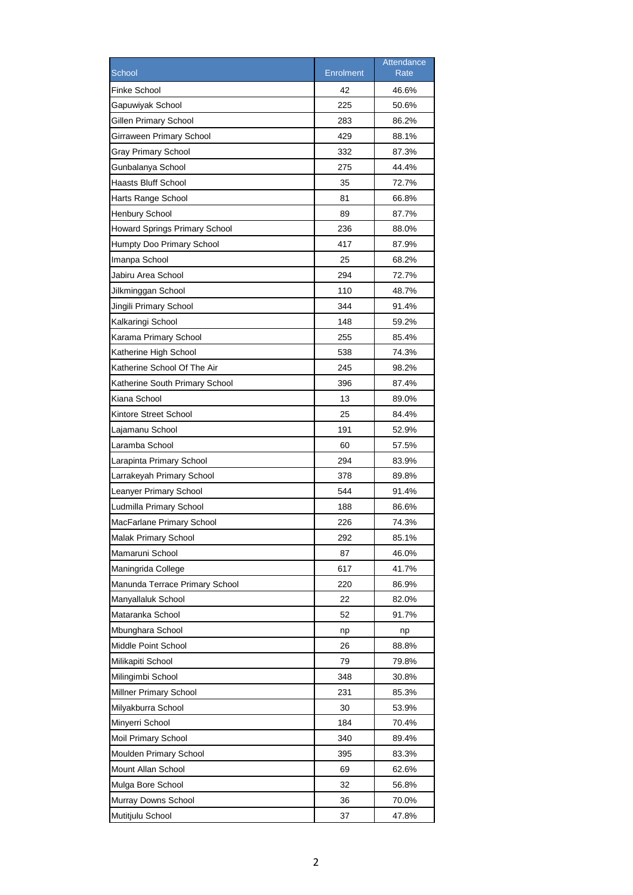|                                      |                  | Attendance  |
|--------------------------------------|------------------|-------------|
| School                               | <b>Enrolment</b> | <b>Rate</b> |
| <b>Finke School</b>                  | 42               | 46.6%       |
| Gapuwiyak School                     | 225              | 50.6%       |
| Gillen Primary School                | 283              | 86.2%       |
| Girraween Primary School             | 429              | 88.1%       |
| Gray Primary School                  | 332              | 87.3%       |
| Gunbalanya School                    | 275              | 44.4%       |
| Haasts Bluff School                  | 35               | 72.7%       |
| Harts Range School                   | 81               | 66.8%       |
| <b>Henbury School</b>                | 89               | 87.7%       |
| <b>Howard Springs Primary School</b> | 236              | 88.0%       |
| Humpty Doo Primary School            | 417              | 87.9%       |
| Imanpa School                        | 25               | 68.2%       |
| Jabiru Area School                   | 294              | 72.7%       |
| Jilkminggan School                   | 110              | 48.7%       |
| Jingili Primary School               | 344              | 91.4%       |
| Kalkaringi School                    | 148              | 59.2%       |
| Karama Primary School                | 255              | 85.4%       |
| Katherine High School                | 538              | 74.3%       |
| Katherine School Of The Air          | 245              | 98.2%       |
| Katherine South Primary School       | 396              | 87.4%       |
| Kiana School                         | 13               | 89.0%       |
| Kintore Street School                | 25               | 84.4%       |
| Lajamanu School                      | 191              | 52.9%       |
| Laramba School                       | 60               | 57.5%       |
| Larapinta Primary School             | 294              | 83.9%       |
| Larrakeyah Primary School            | 378              | 89.8%       |
| Leanyer Primary School               | 544              | 91.4%       |
| Ludmilla Primary School              | 188              | 86.6%       |
| MacFarlane Primary School            | 226              | 74.3%       |
| Malak Primary School                 | 292              | 85.1%       |
| Mamaruni School                      | 87               | 46.0%       |
| Maningrida College                   | 617              | 41.7%       |
| Manunda Terrace Primary School       | 220              | 86.9%       |
| Manyallaluk School                   | 22               | 82.0%       |
| Mataranka School                     | 52               | 91.7%       |
| Mbunghara School                     | np               | np          |
| Middle Point School                  | 26               | 88.8%       |
| Milikapiti School                    | 79               | 79.8%       |
| Milingimbi School                    | 348              | 30.8%       |
| Millner Primary School               | 231              | 85.3%       |
| Milyakburra School                   | 30               | 53.9%       |
| Minyerri School                      | 184              | 70.4%       |
| Moil Primary School                  | 340              | 89.4%       |
| Moulden Primary School               | 395              | 83.3%       |
| Mount Allan School                   | 69               | 62.6%       |
| Mulga Bore School                    | 32               | 56.8%       |
| Murray Downs School                  | 36               | 70.0%       |
| Mutitjulu School                     | 37               | 47.8%       |
|                                      |                  |             |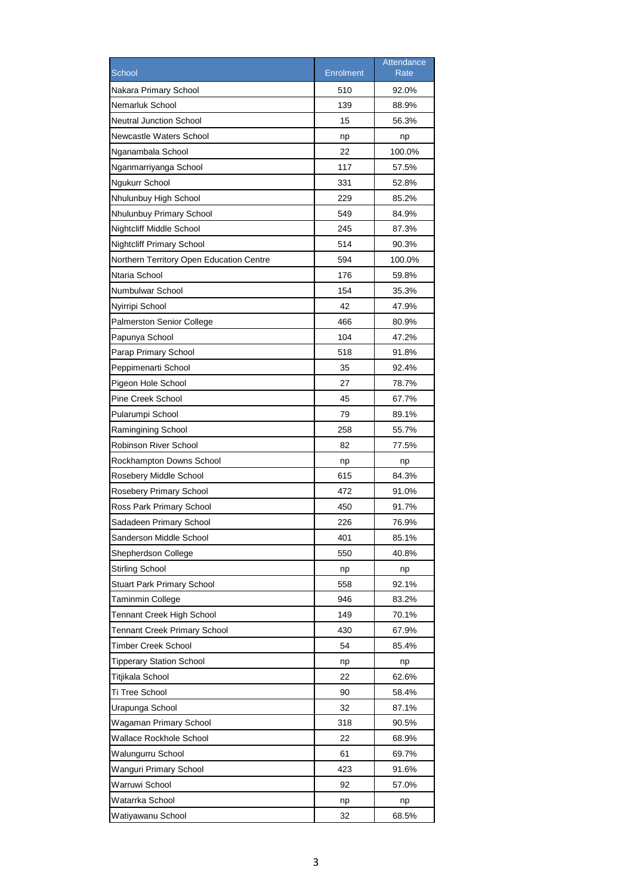|                                          |                  | Attendance |
|------------------------------------------|------------------|------------|
| School                                   | <b>Enrolment</b> | Rate       |
| Nakara Primary School                    | 510              | 92.0%      |
| Nemarluk School                          | 139              | 88.9%      |
| <b>Neutral Junction School</b>           | 15               | 56.3%      |
| Newcastle Waters School                  | np               | np         |
| Nganambala School                        | 22               | 100.0%     |
| Nganmarriyanga School                    | 117              | 57.5%      |
| Ngukurr School                           | 331              | 52.8%      |
| Nhulunbuy High School                    | 229              | 85.2%      |
| Nhulunbuy Primary School                 | 549              | 84.9%      |
| Nightcliff Middle School                 | 245              | 87.3%      |
| <b>Nightcliff Primary School</b>         | 514              | 90.3%      |
| Northern Territory Open Education Centre | 594              | 100.0%     |
| Ntaria School                            | 176              | 59.8%      |
| Numbulwar School                         | 154              | 35.3%      |
| Nyirripi School                          | 42               | 47.9%      |
| <b>Palmerston Senior College</b>         | 466              | 80.9%      |
| Papunya School                           | 104              | 47.2%      |
| Parap Primary School                     | 518              | 91.8%      |
| Peppimenarti School                      | 35               | 92.4%      |
| Pigeon Hole School                       | 27               | 78.7%      |
| <b>Pine Creek School</b>                 | 45               | 67.7%      |
| Pularumpi School                         | 79               | 89.1%      |
| Ramingining School                       | 258              | 55.7%      |
| Robinson River School                    | 82               | 77.5%      |
| Rockhampton Downs School                 | np               | np         |
| Rosebery Middle School                   | 615              | 84.3%      |
| Rosebery Primary School                  | 472              | 91.0%      |
| Ross Park Primary School                 | 450              | 91.7%      |
| Sadadeen Primary School                  | 226              | 76.9%      |
| Sanderson Middle School                  | 401              | 85.1%      |
| Shepherdson College                      | 550              | 40.8%      |
| <b>Stirling School</b>                   | np               | np         |
| <b>Stuart Park Primary School</b>        | 558              | 92.1%      |
| Taminmin College                         | 946              | 83.2%      |
| Tennant Creek High School                | 149              | 70.1%      |
| <b>Tennant Creek Primary School</b>      | 430              | 67.9%      |
| Timber Creek School                      | 54               | 85.4%      |
| <b>Tipperary Station School</b>          | np               | np         |
| Titjikala School                         | 22               | 62.6%      |
| Ti Tree School                           | 90               | 58.4%      |
| Urapunga School                          | 32               | 87.1%      |
| Wagaman Primary School                   | 318              | 90.5%      |
| Wallace Rockhole School                  | 22               | 68.9%      |
| Walungurru School                        | 61               | 69.7%      |
| Wanguri Primary School                   | 423              | 91.6%      |
| Warruwi School                           | 92               | 57.0%      |
| Watarrka School                          | np               | np         |
| Watiyawanu School                        | 32               | 68.5%      |